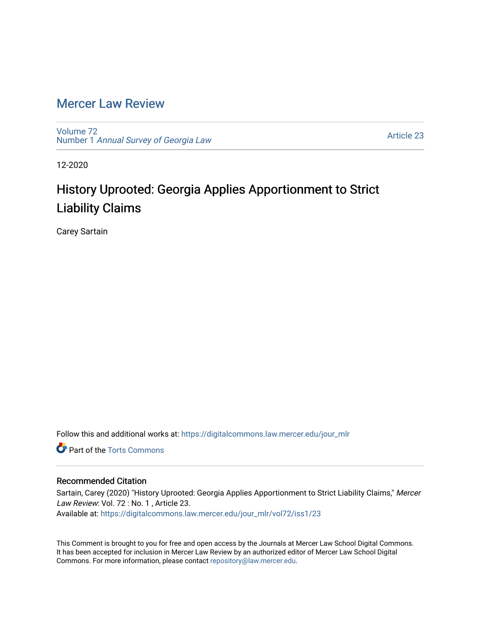# [Mercer Law Review](https://digitalcommons.law.mercer.edu/jour_mlr)

[Volume 72](https://digitalcommons.law.mercer.edu/jour_mlr/vol72) Number 1 [Annual Survey of Georgia Law](https://digitalcommons.law.mercer.edu/jour_mlr/vol72/iss1) 

[Article 23](https://digitalcommons.law.mercer.edu/jour_mlr/vol72/iss1/23) 

12-2020

# History Uprooted: Georgia Applies Apportionment to Strict Liability Claims

Carey Sartain

Follow this and additional works at: [https://digitalcommons.law.mercer.edu/jour\\_mlr](https://digitalcommons.law.mercer.edu/jour_mlr?utm_source=digitalcommons.law.mercer.edu%2Fjour_mlr%2Fvol72%2Fiss1%2F23&utm_medium=PDF&utm_campaign=PDFCoverPages)

**Part of the [Torts Commons](http://network.bepress.com/hgg/discipline/913?utm_source=digitalcommons.law.mercer.edu%2Fjour_mlr%2Fvol72%2Fiss1%2F23&utm_medium=PDF&utm_campaign=PDFCoverPages)** 

# Recommended Citation

Sartain, Carey (2020) "History Uprooted: Georgia Applies Apportionment to Strict Liability Claims," Mercer Law Review: Vol. 72 : No. 1, Article 23. Available at: [https://digitalcommons.law.mercer.edu/jour\\_mlr/vol72/iss1/23](https://digitalcommons.law.mercer.edu/jour_mlr/vol72/iss1/23?utm_source=digitalcommons.law.mercer.edu%2Fjour_mlr%2Fvol72%2Fiss1%2F23&utm_medium=PDF&utm_campaign=PDFCoverPages) 

This Comment is brought to you for free and open access by the Journals at Mercer Law School Digital Commons. It has been accepted for inclusion in Mercer Law Review by an authorized editor of Mercer Law School Digital Commons. For more information, please contact [repository@law.mercer.edu.](mailto:repository@law.mercer.edu)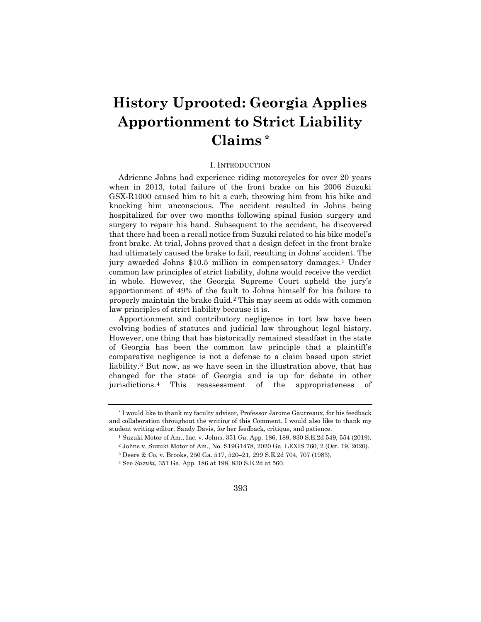# **History Uprooted: Georgia Applies Apportionment to Strict Liability Claims [\\*](#page-1-0)**

#### I. INTRODUCTION

Adrienne Johns had experience riding motorcycles for over 20 years when in 2013, total failure of the front brake on his 2006 Suzuki GSX-R1000 caused him to hit a curb, throwing him from his bike and knocking him unconscious. The accident resulted in Johns being hospitalized for over two months following spinal fusion surgery and surgery to repair his hand. Subsequent to the accident, he discovered that there had been a recall notice from Suzuki related to his bike model's front brake. At trial, Johns proved that a design defect in the front brake had ultimately caused the brake to fail, resulting in Johns' accident. The jury awarded Johns \$10.5 million in compensatory damages.[1](#page-1-1) Under common law principles of strict liability, Johns would receive the verdict in whole. However, the Georgia Supreme Court upheld the jury's apportionment of 49% of the fault to Johns himself for his failure to properly maintain the brake fluid.[2](#page-1-2) This may seem at odds with common law principles of strict liability because it is.

Apportionment and contributory negligence in tort law have been evolving bodies of statutes and judicial law throughout legal history. However, one thing that has historically remained steadfast in the state of Georgia has been the common law principle that a plaintiff's comparative negligence is not a defense to a claim based upon strict liability.[3](#page-1-3) But now, as we have seen in the illustration above, that has changed for the state of Georgia and is up for debate in other jurisdictions.[4](#page-1-4) This reassessment of the appropriateness of

<span id="page-1-3"></span><span id="page-1-2"></span><span id="page-1-1"></span><span id="page-1-0"></span><sup>\*</sup> I would like to thank my faculty advisor, Professor Jarome Gautreaux, for his feedback and collaboration throughout the writing of this Comment. I would also like to thank my student writing editor, Sandy Davis, for her feedback, critique, and patience.

<sup>1</sup> Suzuki Motor of Am., Inc. v. Johns, 351 Ga. App. 186, 189, 830 S.E.2d 549, 554 (2019). <sup>2</sup> Johns v. Suzuki Motor of Am., No. S19G1478, 2020 Ga. LEXIS 760, 2 (Oct. 19, 2020).

<sup>3</sup> Deere & Co. v. Brooks, 250 Ga. 517, 520–21, 299 S.E.2d 704, 707 (1983).

<span id="page-1-4"></span><sup>4</sup> See *Suzuki*, 351 Ga. App. 186 at 198, 830 S.E.2d at 560.

<sup>393</sup>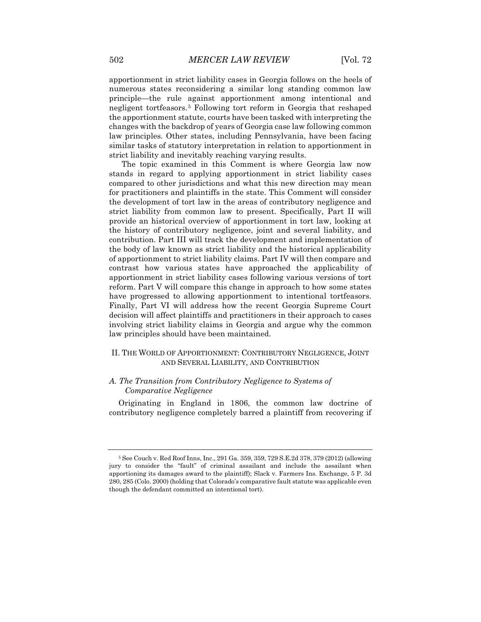apportionment in strict liability cases in Georgia follows on the heels of numerous states reconsidering a similar long standing common law principle—the rule against apportionment among intentional and negligent tortfeasors.[5](#page-2-0) Following tort reform in Georgia that reshaped the apportionment statute, courts have been tasked with interpreting the changes with the backdrop of years of Georgia case law following common law principles. Other states, including Pennsylvania, have been facing similar tasks of statutory interpretation in relation to apportionment in strict liability and inevitably reaching varying results.

The topic examined in this Comment is where Georgia law now stands in regard to applying apportionment in strict liability cases compared to other jurisdictions and what this new direction may mean for practitioners and plaintiffs in the state. This Comment will consider the development of tort law in the areas of contributory negligence and strict liability from common law to present. Specifically, Part II will provide an historical overview of apportionment in tort law, looking at the history of contributory negligence, joint and several liability, and contribution. Part III will track the development and implementation of the body of law known as strict liability and the historical applicability of apportionment to strict liability claims. Part IV will then compare and contrast how various states have approached the applicability of apportionment in strict liability cases following various versions of tort reform. Part V will compare this change in approach to how some states have progressed to allowing apportionment to intentional tortfeasors. Finally, Part VI will address how the recent Georgia Supreme Court decision will affect plaintiffs and practitioners in their approach to cases involving strict liability claims in Georgia and argue why the common law principles should have been maintained.

#### II. THE WORLD OF APPORTIONMENT: CONTRIBUTORY NEGLIGENCE, JOINT AND SEVERAL LIABILITY, AND CONTRIBUTION

# *A. The Transition from Contributory Negligence to Systems of Comparative Negligence*

Originating in England in 1806, the common law doctrine of contributory negligence completely barred a plaintiff from recovering if

<span id="page-2-0"></span><sup>5</sup> See Couch v. Red Roof Inns, Inc., 291 Ga. 359, 359, 729 S.E.2d 378, 379 (2012) (allowing jury to consider the "fault" of criminal assailant and include the assailant when apportioning its damages award to the plaintiff); Slack v. Farmers Ins. Exchange, 5 P. 3d 280, 285 (Colo. 2000) (holding that Colorado's comparative fault statute was applicable even though the defendant committed an intentional tort).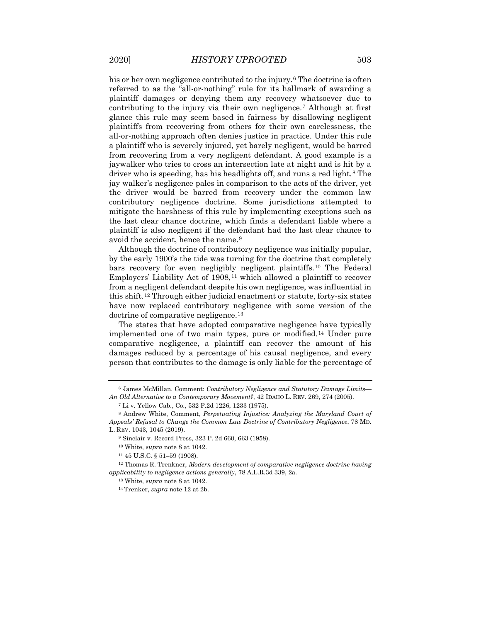his or her own negligence contributed to the injury.<sup>[6](#page-3-0)</sup> The doctrine is often referred to as the "all-or-nothing" rule for its hallmark of awarding a plaintiff damages or denying them any recovery whatsoever due to contributing to the injury via their own negligence.[7](#page-3-1) Although at first glance this rule may seem based in fairness by disallowing negligent plaintiffs from recovering from others for their own carelessness, the all-or-nothing approach often denies justice in practice. Under this rule a plaintiff who is severely injured, yet barely negligent, would be barred from recovering from a very negligent defendant. A good example is a jaywalker who tries to cross an intersection late at night and is hit by a driver who is speeding, has his headlights off, and runs a red light.[8](#page-3-2) The jay walker's negligence pales in comparison to the acts of the driver, yet the driver would be barred from recovery under the common law contributory negligence doctrine. Some jurisdictions attempted to mitigate the harshness of this rule by implementing exceptions such as the last clear chance doctrine, which finds a defendant liable where a plaintiff is also negligent if the defendant had the last clear chance to avoid the accident, hence the name.<sup>[9](#page-3-3)</sup>

Although the doctrine of contributory negligence was initially popular, by the early 1900's the tide was turning for the doctrine that completely bars recovery for even negligibly negligent plaintiffs.[10](#page-3-4) The Federal Employers' Liability Act of 1908,<sup>[11](#page-3-5)</sup> which allowed a plaintiff to recover from a negligent defendant despite his own negligence, was influential in this shift.[12](#page-3-6) Through either judicial enactment or statute, forty-six states have now replaced contributory negligence with some version of the doctrine of comparative negligence.<sup>[13](#page-3-7)</sup>

The states that have adopted comparative negligence have typically implemented one of two main types, pure or modified.[14](#page-3-8) Under pure comparative negligence, a plaintiff can recover the amount of his damages reduced by a percentage of his causal negligence, and every person that contributes to the damage is only liable for the percentage of

<span id="page-3-0"></span><sup>6</sup> James McMillan. Comment: *Contributory Negligence and Statutory Damage Limits— An Old Alternative to a Contemporary Movement?*, 42 IDAHO L. REV. 269, 274 (2005).

<sup>7</sup> Li v. Yellow Cab., Co., 532 P.2d 1226, 1233 (1975).

<span id="page-3-3"></span><span id="page-3-2"></span><span id="page-3-1"></span><sup>8</sup> Andrew White, Comment, *Perpetuating Injustice: Analyzing the Maryland Court of Appeals' Refusal to Change the Common Law Doctrine of Contributory Negligence*, 78 MD. L. REV. 1043, 1045 (2019).

<sup>9</sup> Sinclair v. Record Press, 323 P. 2d 660, 663 (1958).

<sup>10</sup> White, *supra* note 8 at 1042.

<sup>11</sup> 45 U.S.C. § 51–59 (1908).

<span id="page-3-8"></span><span id="page-3-7"></span><span id="page-3-6"></span><span id="page-3-5"></span><span id="page-3-4"></span><sup>12</sup> Thomas R. Trenkner, *Modern development of comparative negligence doctrine having applicability to negligence actions generally*, 78 A.L.R.3d 339, 2a.

<sup>13</sup> White, *supra* note 8 at 1042.

<sup>14</sup> Trenker, *supra* note 12 at 2b.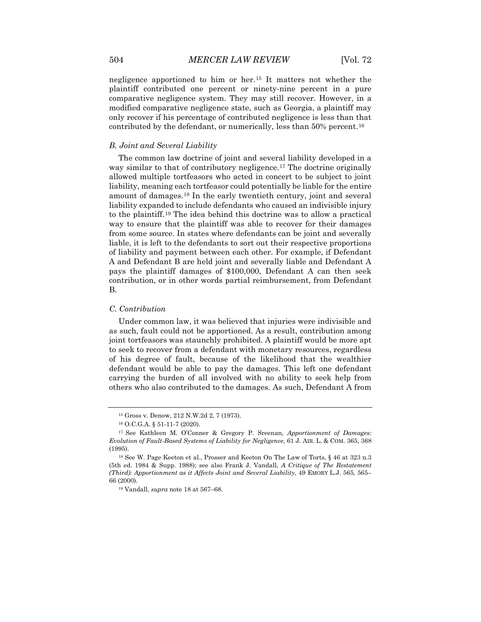negligence apportioned to him or her.[15](#page-4-0) It matters not whether the plaintiff contributed one percent or ninety-nine percent in a pure comparative negligence system. They may still recover. However, in a modified comparative negligence state, such as Georgia, a plaintiff may only recover if his percentage of contributed negligence is less than that contributed by the defendant, or numerically, less than 50% percent.[16](#page-4-1)

#### *B. Joint and Several Liability*

The common law doctrine of joint and several liability developed in a way similar to that of contributory negligence.<sup>[17](#page-4-2)</sup> The doctrine originally allowed multiple tortfeasors who acted in concert to be subject to joint liability, meaning each tortfeasor could potentially be liable for the entire amount of damages.[18](#page-4-3) In the early twentieth century, joint and several liability expanded to include defendants who caused an indivisible injury to the plaintiff.[19](#page-4-4) The idea behind this doctrine was to allow a practical way to ensure that the plaintiff was able to recover for their damages from some source. In states where defendants can be joint and severally liable, it is left to the defendants to sort out their respective proportions of liability and payment between each other. For example, if Defendant A and Defendant B are held joint and severally liable and Defendant A pays the plaintiff damages of \$100,000, Defendant A can then seek contribution, or in other words partial reimbursement, from Defendant B.

#### *C. Contribution*

Under common law, it was believed that injuries were indivisible and as such, fault could not be apportioned. As a result, contribution among joint tortfeasors was staunchly prohibited. A plaintiff would be more apt to seek to recover from a defendant with monetary resources, regardless of his degree of fault, because of the likelihood that the wealthier defendant would be able to pay the damages. This left one defendant carrying the burden of all involved with no ability to seek help from others who also contributed to the damages. As such, Defendant A from

<sup>15</sup> Gross v. Denow, 212 N.W.2d 2, 7 (1973).

<sup>16</sup> O.C.G.A. § 51-11-7 (2020).

<span id="page-4-2"></span><span id="page-4-1"></span><span id="page-4-0"></span><sup>17</sup> See Kathleen M. O'Conner & Gregory P. Sreenan, *Apportionment of Damages: Evolution of Fault-Based Systems of Liability for Negligence*, 61 J. AIR. L. & COM. 365, 368 (1995).

<span id="page-4-4"></span><span id="page-4-3"></span><sup>18</sup> See W. Page Keeton et al., Prosser and Keeton On The Law of Torts, § 46 at 323 n.3 (5th ed. 1984 & Supp. 1988); see also Frank J. Vandall, *A Critique of The Restatement (Third): Apportionment as it Affects Joint and Several Liability*, 49 EMORY L.J. 565, 565– 66 (2000).

<sup>19</sup> Vandall, *supra* note 18 at 567–68.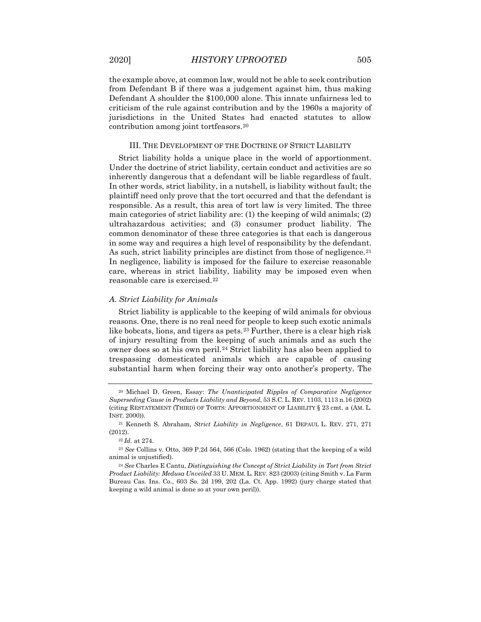the example above, at common law, would not be able to seek contribution from Defendant B if there was a judgement against him, thus making Defendant A shoulder the \$100,000 alone. This innate unfairness led to criticism of the rule against contribution and by the 1960s a majority of jurisdictions in the United States had enacted statutes to allow contribution among joint tortfeasors.[20](#page-5-0)

#### III. THE DEVELOPMENT OF THE DOCTRINE OF STRICT LIABILITY

Strict liability holds a unique place in the world of apportionment. Under the doctrine of strict liability, certain conduct and activities are so inherently dangerous that a defendant will be liable regardless of fault. In other words, strict liability, in a nutshell, is liability without fault; the plaintiff need only prove that the tort occurred and that the defendant is responsible. As a result, this area of tort law is very limited. The three main categories of strict liability are: (1) the keeping of wild animals; (2) ultrahazardous activities; and (3) consumer product liability. The common denominator of these three categories is that each is dangerous in some way and requires a high level of responsibility by the defendant. As such, strict liability principles are distinct from those of negligence.<sup>[21](#page-5-1)</sup> In negligence, liability is imposed for the failure to exercise reasonable care, whereas in strict liability, liability may be imposed even when reasonable care is exercised.[22](#page-5-2)

#### *A. Strict Liability for Animals*

Strict liability is applicable to the keeping of wild animals for obvious reasons. One, there is no real need for people to keep such exotic animals like bobcats, lions, and tigers as pets.<sup>[23](#page-5-3)</sup> Further, there is a clear high risk of injury resulting from the keeping of such animals and as such the owner does so at his own peril.<sup>[24](#page-5-4)</sup> Strict liability has also been applied to trespassing domesticated animals which are capable of causing substantial harm when forcing their way onto another's property. The

<span id="page-5-0"></span><sup>20</sup> Michael D. Green, Essay: *The Unanticipated Ripples of Comparative Negligence Superseding Cause in Products Liability and Beyond*, 53 S.C. L. REV. 1103, 1113 n.16 (2002) (citing RESTATEMENT (THIRD) OF TORTS: APPORTIONMENT OF LIABILITY § 23 cmt. a (AM. L. INST. 2000)).

<span id="page-5-1"></span><sup>21</sup> Kenneth S. Abraham, *Strict Liability in Negligence*, 61 DEPAUL L. REV. 271, 271 (2012).

<sup>22</sup> *Id.* at 274.

<span id="page-5-3"></span><span id="page-5-2"></span><sup>23</sup> *See* Collins v. Otto, 369 P.2d 564, 566 (Colo. 1962) (stating that the keeping of a wild animal is unjustified).

<span id="page-5-4"></span><sup>24</sup> *See* Charles E Cantu, *Distinguishing the Concept of Strict Liability in Tort from Strict Product Liability: Medusa Unveiled* 33 U. MEM. L. REV. 823 (2003) (citing Smith v. La Farm Bureau Cas. Ins. Co., 603 So. 2d 199, 202 (La. Ct. App. 1992) (jury charge stated that keeping a wild animal is done so at your own peril)).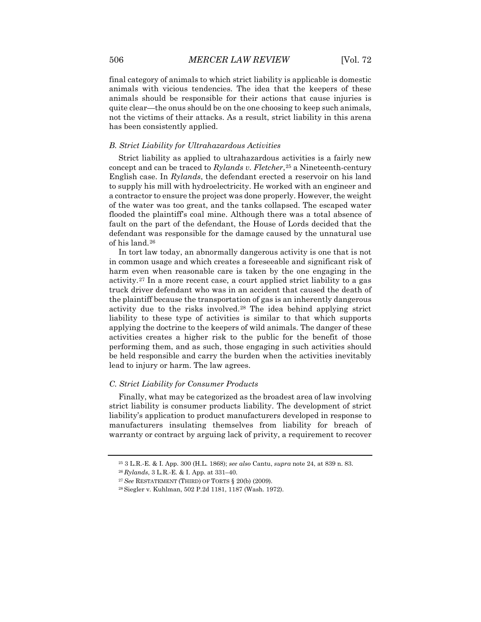final category of animals to which strict liability is applicable is domestic animals with vicious tendencies. The idea that the keepers of these animals should be responsible for their actions that cause injuries is quite clear—the onus should be on the one choosing to keep such animals, not the victims of their attacks. As a result, strict liability in this arena has been consistently applied.

#### *B. Strict Liability for Ultrahazardous Activities*

Strict liability as applied to ultrahazardous activities is a fairly new concept and can be traced to *Rylands v. Fletcher*,<sup>[25](#page-6-0)</sup> a Nineteenth-century English case. In *Rylands*, the defendant erected a reservoir on his land to supply his mill with hydroelectricity. He worked with an engineer and a contractor to ensure the project was done properly. However, the weight of the water was too great, and the tanks collapsed. The escaped water flooded the plaintiff's coal mine. Although there was a total absence of fault on the part of the defendant, the House of Lords decided that the defendant was responsible for the damage caused by the unnatural use of his land.[26](#page-6-1)

In tort law today, an abnormally dangerous activity is one that is not in common usage and which creates a foreseeable and significant risk of harm even when reasonable care is taken by the one engaging in the activity.[27](#page-6-2) In a more recent case, a court applied strict liability to a gas truck driver defendant who was in an accident that caused the death of the plaintiff because the transportation of gas is an inherently dangerous activity due to the risks involved.[28](#page-6-3) The idea behind applying strict liability to these type of activities is similar to that which supports applying the doctrine to the keepers of wild animals. The danger of these activities creates a higher risk to the public for the benefit of those performing them, and as such, those engaging in such activities should be held responsible and carry the burden when the activities inevitably lead to injury or harm. The law agrees.

#### *C. Strict Liability for Consumer Products*

Finally, what may be categorized as the broadest area of law involving strict liability is consumer products liability. The development of strict liability's application to product manufacturers developed in response to manufacturers insulating themselves from liability for breach of warranty or contract by arguing lack of privity, a requirement to recover

<sup>25</sup> 3 L.R.-E. & I. App. 300 (H.L. 1868); *see also* Cantu, *supra* note 24, at 839 n. 83.

<span id="page-6-1"></span><span id="page-6-0"></span><sup>26</sup> *Rylands*, 3 L.R.-E. & I. App. at 331–40.

<span id="page-6-2"></span><sup>27</sup> *See* RESTATEMENT (THIRD) OF TORTS § 20(b) (2009).

<span id="page-6-3"></span><sup>28</sup> Siegler v. Kuhlman, 502 P.2d 1181, 1187 (Wash. 1972).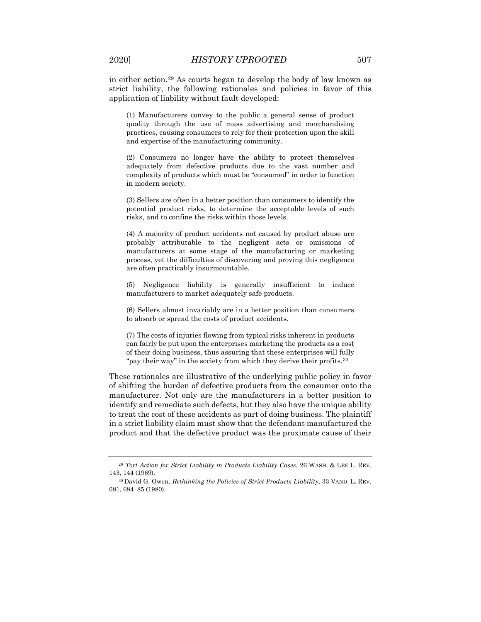in either action.[29](#page-7-0) As courts began to develop the body of law known as strict liability, the following rationales and policies in favor of this application of liability without fault developed:

(1) Manufacturers convey to the public a general sense of product quality through the use of mass advertising and merchandising practices, causing consumers to rely for their protection upon the skill and expertise of the manufacturing community.

(2) Consumers no longer have the ability to protect themselves adequately from defective products due to the vast number and complexity of products which must be "consumed" in order to function in modern society.

(3) Sellers are often in a better position than consumers to identify the potential product risks, to determine the acceptable levels of such risks, and to confine the risks within those levels.

(4) A majority of product accidents not caused by product abuse are probably attributable to the negligent acts or omissions of manufacturers at some stage of the manufacturing or marketing process, yet the difficulties of discovering and proving this negligence are often practicably insurmountable.

(5) Negligence liability is generally insufficient to induce manufacturers to market adequately safe products.

(6) Sellers almost invariably are in a better position than consumers to absorb or spread the costs of product accidents.

(7) The costs of injuries flowing from typical risks inherent in products can fairly be put upon the enterprises marketing the products as a cost of their doing business, thus assuring that these enterprises will fully "pay their way" in the society from which they derive their profits.<sup>[30](#page-7-1)</sup>

These rationales are illustrative of the underlying public policy in favor of shifting the burden of defective products from the consumer onto the manufacturer. Not only are the manufacturers in a better position to identify and remediate such defects, but they also have the unique ability to treat the cost of these accidents as part of doing business. The plaintiff in a strict liability claim must show that the defendant manufactured the product and that the defective product was the proximate cause of their

<span id="page-7-0"></span><sup>29</sup> *Tort Action for Strict Liability in Products Liability Cases*, 26 WASH. & LEE L. REV. 143, 144 (1969).

<span id="page-7-1"></span><sup>30</sup> David G. Owen, *Rethinking the Policies of Strict Products Liability*, 33 VAND. L. REV. 681, 684–85 (1980).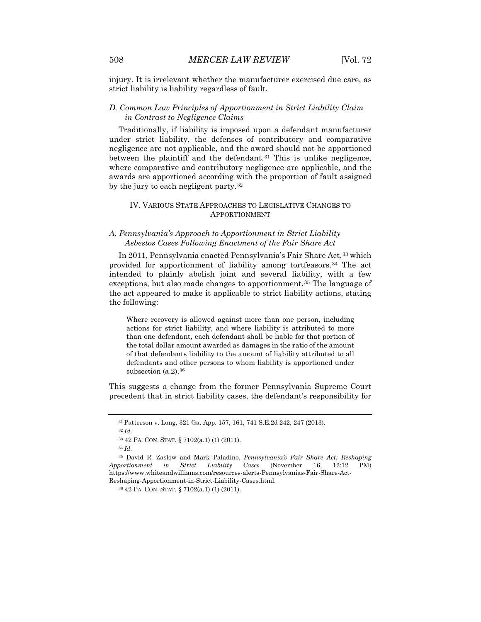injury. It is irrelevant whether the manufacturer exercised due care, as strict liability is liability regardless of fault.

# *D. Common Law Principles of Apportionment in Strict Liability Claim in Contrast to Negligence Claims*

Traditionally, if liability is imposed upon a defendant manufacturer under strict liability, the defenses of contributory and comparative negligence are not applicable, and the award should not be apportioned between the plaintiff and the defendant. $31$  This is unlike negligence, where comparative and contributory negligence are applicable, and the awards are apportioned according with the proportion of fault assigned by the jury to each negligent party.<sup>[32](#page-8-1)</sup>

### IV. VARIOUS STATE APPROACHES TO LEGISLATIVE CHANGES TO APPORTIONMENT

# *A. Pennsylvania's Approach to Apportionment in Strict Liability Asbestos Cases Following Enactment of the Fair Share Act*

In 2011, Pennsylvania enacted Pennsylvania's Fair Share Act, [33](#page-8-2) which provided for apportionment of liability among tortfeasors.[34](#page-8-3) The act intended to plainly abolish joint and several liability, with a few exceptions, but also made changes to apportionment.<sup>[35](#page-8-4)</sup> The language of the act appeared to make it applicable to strict liability actions, stating the following:

Where recovery is allowed against more than one person, including actions for strict liability, and where liability is attributed to more than one defendant, each defendant shall be liable for that portion of the total dollar amount awarded as damages in the ratio of the amount of that defendants liability to the amount of liability attributed to all defendants and other persons to whom liability is apportioned under subsection  $(a.2)$ . [36](#page-8-5)

This suggests a change from the former Pennsylvania Supreme Court precedent that in strict liability cases, the defendant's responsibility for

<sup>31</sup> Patterson v. Long, 321 Ga. App. 157, 161, 741 S.E.2d 242, 247 (2013).

<sup>32</sup> *Id.*

<sup>33</sup> 42 PA. CON. STAT. § 7102(a.1) (1) (2011).

<sup>34</sup> *Id.*

<span id="page-8-5"></span><span id="page-8-4"></span><span id="page-8-3"></span><span id="page-8-2"></span><span id="page-8-1"></span><span id="page-8-0"></span><sup>35</sup> David R. Zaslow and Mark Paladino, *Pennsylvania's Fair Share Act: Reshaping Apportionment in Strict Liability Cases* (November 16, 12:12 PM) https://www.whiteandwilliams.com/resources-alerts-Pennsylvanias-Fair-Share-Act-Reshaping-Apportionment-in-Strict-Liability-Cases.html.

<sup>36</sup> 42 PA. CON. STAT. § 7102(a.1) (1) (2011).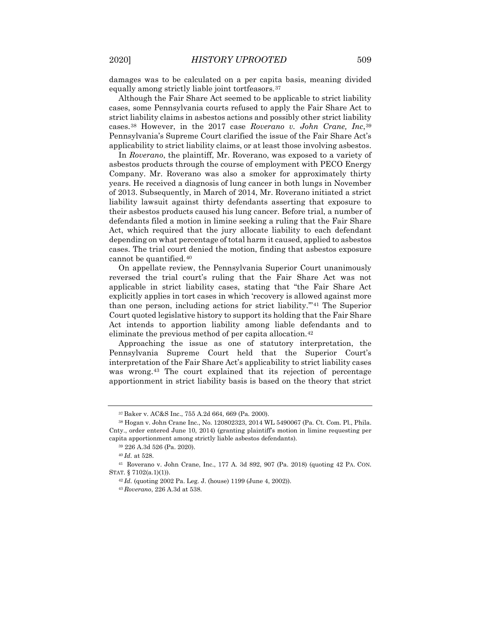damages was to be calculated on a per capita basis, meaning divided equally among strictly liable joint tortfeasors.[37](#page-9-0)

Although the Fair Share Act seemed to be applicable to strict liability cases, some Pennsylvania courts refused to apply the Fair Share Act to strict liability claims in asbestos actions and possibly other strict liability cases.[38](#page-9-1) However, in the 2017 case *Roverano v. John Crane, Inc*,[39](#page-9-2) Pennsylvania's Supreme Court clarified the issue of the Fair Share Act's applicability to strict liability claims, or at least those involving asbestos.

In *Roverano*, the plaintiff, Mr. Roverano, was exposed to a variety of asbestos products through the course of employment with PECO Energy Company. Mr. Roverano was also a smoker for approximately thirty years. He received a diagnosis of lung cancer in both lungs in November of 2013. Subsequently, in March of 2014, Mr. Roverano initiated a strict liability lawsuit against thirty defendants asserting that exposure to their asbestos products caused his lung cancer. Before trial, a number of defendants filed a motion in limine seeking a ruling that the Fair Share Act, which required that the jury allocate liability to each defendant depending on what percentage of total harm it caused, applied to asbestos cases. The trial court denied the motion, finding that asbestos exposure cannot be quantified.[40](#page-9-3)

On appellate review, the Pennsylvania Superior Court unanimously reversed the trial court's ruling that the Fair Share Act was not applicable in strict liability cases, stating that "the Fair Share Act explicitly applies in tort cases in which 'recovery is allowed against more than one person, including actions for strict liability."<sup>[41](#page-9-4)</sup> The Superior Court quoted legislative history to support its holding that the Fair Share Act intends to apportion liability among liable defendants and to eliminate the previous method of per capita allocation.<sup>[42](#page-9-5)</sup>

Approaching the issue as one of statutory interpretation, the Pennsylvania Supreme Court held that the Superior Court's interpretation of the Fair Share Act's applicability to strict liability cases was wrong.[43](#page-9-6) The court explained that its rejection of percentage apportionment in strict liability basis is based on the theory that strict

<sup>37</sup> Baker v. AC&S Inc., 755 A.2d 664, 669 (Pa. 2000).

<span id="page-9-1"></span><span id="page-9-0"></span><sup>38</sup> Hogan v. John Crane Inc., No. 120802323, 2014 WL 5490067 (Pa. Ct. Com. Pl., Phila. Cnty., order entered June 10, 2014) (granting plaintiff's motion in limine requesting per capita apportionment among strictly liable asbestos defendants).

<sup>39</sup> 226 A.3d 526 (Pa. 2020).

<sup>40</sup> *Id.* at 528.

<span id="page-9-6"></span><span id="page-9-5"></span><span id="page-9-4"></span><span id="page-9-3"></span><span id="page-9-2"></span><sup>41</sup> Roverano v. John Crane, Inc., 177 A. 3d 892, 907 (Pa. 2018) (quoting 42 PA. CON. STAT. § 7102(a.1)(1)).

<sup>42</sup> *Id.* (quoting 2002 Pa. Leg. J. (house) 1199 (June 4, 2002)).

<sup>43</sup> *Roverano*, 226 A.3d at 538.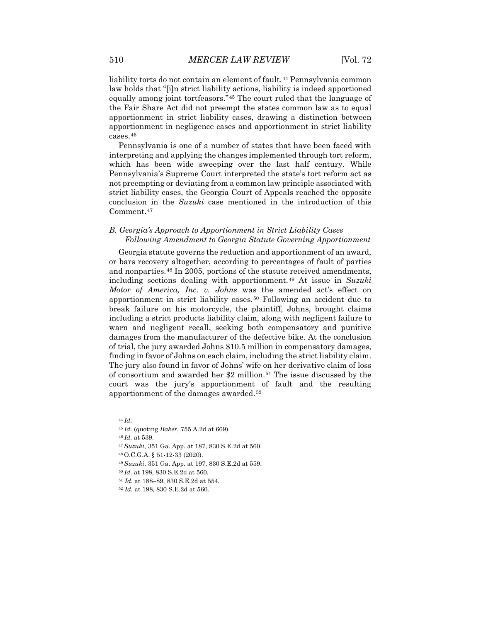liability torts do not contain an element of fault.<sup>[44](#page-10-0)</sup> Pennsylvania common law holds that "[i]n strict liability actions, liability is indeed apportioned equally among joint tortfeasors."[45](#page-10-1) The court ruled that the language of the Fair Share Act did not preempt the states common law as to equal apportionment in strict liability cases, drawing a distinction between apportionment in negligence cases and apportionment in strict liability cases.[46](#page-10-2)

Pennsylvania is one of a number of states that have been faced with interpreting and applying the changes implemented through tort reform, which has been wide sweeping over the last half century. While Pennsylvania's Supreme Court interpreted the state's tort reform act as not preempting or deviating from a common law principle associated with strict liability cases, the Georgia Court of Appeals reached the opposite conclusion in the *Suzuki* case mentioned in the introduction of this Comment.[47](#page-10-3)

# *B. Georgia's Approach to Apportionment in Strict Liability Cases Following Amendment to Georgia Statute Governing Apportionment*

Georgia statute governs the reduction and apportionment of an award, or bars recovery altogether, according to percentages of fault of parties and nonparties.[48](#page-10-4) In 2005, portions of the statute received amendments, including sections dealing with apportionment.[49](#page-10-5) At issue in *Suzuki Motor of America, Inc. v. Johns* was the amended act's effect on apportionment in strict liability cases.[50](#page-10-6) Following an accident due to break failure on his motorcycle, the plaintiff, Johns, brought claims including a strict products liability claim, along with negligent failure to warn and negligent recall, seeking both compensatory and punitive damages from the manufacturer of the defective bike. At the conclusion of trial, the jury awarded Johns \$10.5 million in compensatory damages, finding in favor of Johns on each claim, including the strict liability claim. The jury also found in favor of Johns' wife on her derivative claim of loss of consortium and awarded her \$2 million.<sup>[51](#page-10-7)</sup> The issue discussed by the court was the jury's apportionment of fault and the resulting apportionment of the damages awarded.[52](#page-10-8)

<sup>46</sup> *Id.* at 539.

<span id="page-10-0"></span><sup>44</sup> *Id.*

<span id="page-10-2"></span><span id="page-10-1"></span><sup>45</sup> *Id.* (quoting *Baker*, 755 A.2d at 669).

<span id="page-10-3"></span><sup>47</sup> *Suzuki*, 351 Ga. App. at 187, 830 S.E.2d at 560.

<span id="page-10-4"></span><sup>48</sup> O.C.G.A. § 51-12-33 (2020).

<span id="page-10-5"></span><sup>49</sup> *Suzuki*, 351 Ga. App. at 197, 830 S.E.2d at 559.

<sup>50</sup> *Id.* at 198, 830 S.E.2d at 560.

<span id="page-10-8"></span><span id="page-10-7"></span><span id="page-10-6"></span><sup>51</sup> *Id.* at 188–89, 830 S.E.2d at 554.

<sup>52</sup> *Id.* at 198, 830 S.E.2d at 560.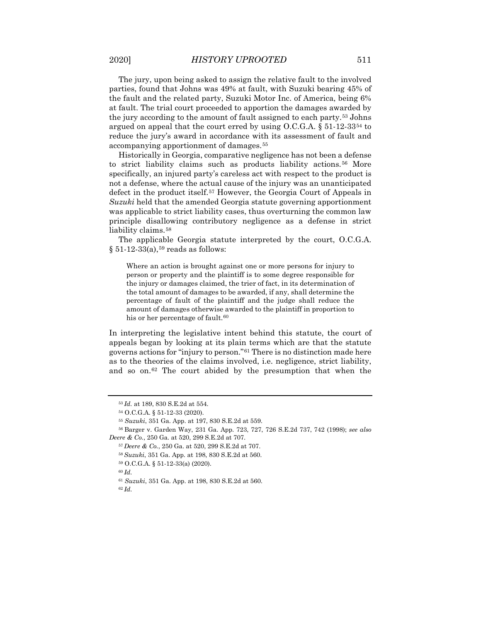The jury, upon being asked to assign the relative fault to the involved parties, found that Johns was 49% at fault, with Suzuki bearing 45% of the fault and the related party, Suzuki Motor Inc. of America, being 6% at fault. The trial court proceeded to apportion the damages awarded by the jury according to the amount of fault assigned to each party.[53](#page-11-0) Johns argued on appeal that the court erred by using  $O.C.G.A. \S 51-12-3354$  $O.C.G.A. \S 51-12-3354$  to reduce the jury's award in accordance with its assessment of fault and accompanying apportionment of damages.[55](#page-11-2)

Historically in Georgia, comparative negligence has not been a defense to strict liability claims such as products liability actions.<sup>[56](#page-11-3)</sup> More specifically, an injured party's careless act with respect to the product is not a defense, where the actual cause of the injury was an unanticipated defect in the product itself.[57](#page-11-4) However, the Georgia Court of Appeals in *Suzuki* held that the amended Georgia statute governing apportionment was applicable to strict liability cases, thus overturning the common law principle disallowing contributory negligence as a defense in strict liability claims.<sup>[58](#page-11-5)</sup>

The applicable Georgia statute interpreted by the court, O.C.G.A.  $§ 51-12-33(a),<sup>59</sup> reads as follows:$  $§ 51-12-33(a),<sup>59</sup> reads as follows:$  $§ 51-12-33(a),<sup>59</sup> reads as follows:$ 

Where an action is brought against one or more persons for injury to person or property and the plaintiff is to some degree responsible for the injury or damages claimed, the trier of fact, in its determination of the total amount of damages to be awarded, if any, shall determine the percentage of fault of the plaintiff and the judge shall reduce the amount of damages otherwise awarded to the plaintiff in proportion to his or her percentage of fault.<sup>[60](#page-11-7)</sup>

In interpreting the legislative intent behind this statute, the court of appeals began by looking at its plain terms which are that the statute governs actions for "injury to person."[61](#page-11-8) There is no distinction made here as to the theories of the claims involved, i.e. negligence, strict liability, and so on.[62](#page-11-9) The court abided by the presumption that when the

<sup>53</sup> *Id.* at 189, 830 S.E.2d at 554.

<sup>54</sup> O.C.G.A. § 51-12-33 (2020).

<sup>55</sup> *Suzuki*, 351 Ga. App. at 197, 830 S.E.2d at 559.

<span id="page-11-7"></span><span id="page-11-6"></span><span id="page-11-5"></span><span id="page-11-4"></span><span id="page-11-3"></span><span id="page-11-2"></span><span id="page-11-1"></span><span id="page-11-0"></span><sup>56</sup> Barger v. Garden Way, 231 Ga. App. 723, 727, 726 S.E.2d 737, 742 (1998); *see also Deere & Co.*, 250 Ga. at 520, 299 S.E.2d at 707.

<sup>57</sup> *Deere & Co.*, 250 Ga. at 520, 299 S.E.2d at 707.

<sup>58</sup> *Suzuki*, 351 Ga. App. at 198, 830 S.E.2d at 560.

<sup>59</sup> O.C.G.A. § 51-12-33(a) (2020).

<sup>60</sup> *Id.*

<sup>61</sup> *Suzuki*, 351 Ga. App. at 198, 830 S.E.2d at 560.

<span id="page-11-9"></span><span id="page-11-8"></span><sup>62</sup> *Id.*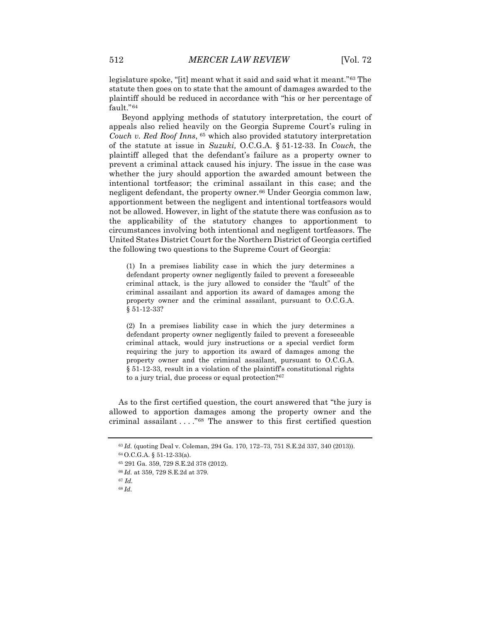legislature spoke, "[it] meant what it said and said what it meant."[63](#page-12-0) The statute then goes on to state that the amount of damages awarded to the plaintiff should be reduced in accordance with "his or her percentage of fault."[64](#page-12-1)

Beyond applying methods of statutory interpretation, the court of appeals also relied heavily on the Georgia Supreme Court's ruling in *Couch v. Red Roof Inns*, [65](#page-12-2) which also provided statutory interpretation of the statute at issue in *Suzuki,* O.C.G.A. § 51-12-33. In *Couch*, the plaintiff alleged that the defendant's failure as a property owner to prevent a criminal attack caused his injury. The issue in the case was whether the jury should apportion the awarded amount between the intentional tortfeasor; the criminal assailant in this case; and the negligent defendant, the property owner.<sup>[66](#page-12-3)</sup> Under Georgia common law, apportionment between the negligent and intentional tortfeasors would not be allowed. However, in light of the statute there was confusion as to the applicability of the statutory changes to apportionment to circumstances involving both intentional and negligent tortfeasors. The United States District Court for the Northern District of Georgia certified the following two questions to the Supreme Court of Georgia:

(1) In a premises liability case in which the jury determines a defendant property owner negligently failed to prevent a foreseeable criminal attack, is the jury allowed to consider the "fault" of the criminal assailant and apportion its award of damages among the property owner and the criminal assailant, pursuant to O.C.G.A. § 51-12-33?

(2) In a premises liability case in which the jury determines a defendant property owner negligently failed to prevent a foreseeable criminal attack, would jury instructions or a special verdict form requiring the jury to apportion its award of damages among the property owner and the criminal assailant, pursuant to O.C.G.A. § 51-12-33, result in a violation of the plaintiff's constitutional rights to a jury trial, due process or equal protection?[67](#page-12-4)

<span id="page-12-0"></span>As to the first certified question, the court answered that "the jury is allowed to apportion damages among the property owner and the criminal assailant . . . ."[68](#page-12-5) The answer to this first certified question

<sup>63</sup> *Id.* (quoting Deal v. Coleman, 294 Ga. 170, 172–73, 751 S.E.2d 337, 340 (2013)).

<span id="page-12-1"></span><sup>64</sup> O.C.G.A. § 51-12-33(a).

<span id="page-12-2"></span><sup>65</sup> 291 Ga. 359, 729 S.E.2d 378 (2012).

<span id="page-12-3"></span><sup>66</sup> *Id.* at 359, 729 S.E.2d at 379.

<span id="page-12-4"></span><sup>67</sup> *Id.*

<span id="page-12-5"></span><sup>68</sup> *Id.*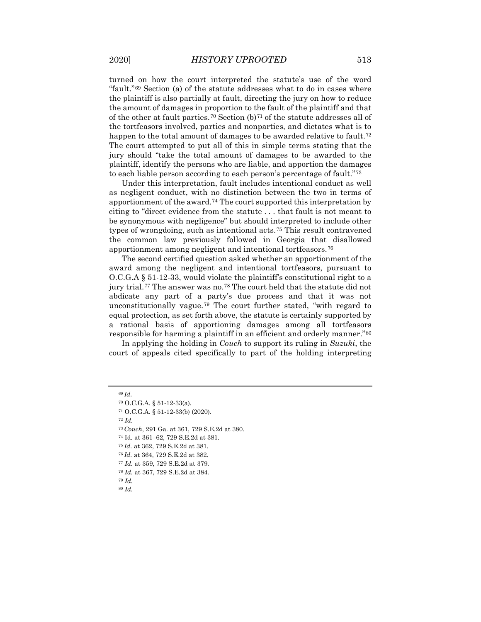turned on how the court interpreted the statute's use of the word "fault."[69](#page-13-0) Section (a) of the statute addresses what to do in cases where the plaintiff is also partially at fault, directing the jury on how to reduce the amount of damages in proportion to the fault of the plaintiff and that of the other at fault parties.<sup>[70](#page-13-1)</sup> Section  $(b)^{71}$  $(b)^{71}$  $(b)^{71}$  of the statute addresses all of the tortfeasors involved, parties and nonparties, and dictates what is to happen to the total amount of damages to be awarded relative to fault.<sup>[72](#page-13-3)</sup> The court attempted to put all of this in simple terms stating that the jury should "take the total amount of damages to be awarded to the plaintiff, identify the persons who are liable, and apportion the damages to each liable person according to each person's percentage of fault."[73](#page-13-4)

Under this interpretation, fault includes intentional conduct as well as negligent conduct, with no distinction between the two in terms of apportionment of the award.[74](#page-13-5) The court supported this interpretation by citing to "direct evidence from the statute . . . that fault is not meant to be synonymous with negligence" but should interpreted to include other types of wrongdoing, such as intentional acts.[75](#page-13-6) This result contravened the common law previously followed in Georgia that disallowed apportionment among negligent and intentional tortfeasors.[76](#page-13-7)

The second certified question asked whether an apportionment of the award among the negligent and intentional tortfeasors, pursuant to O.C.G.A § 51-12-33, would violate the plaintiff's constitutional right to a jury trial.<sup>[77](#page-13-8)</sup> The answer was no.<sup>78</sup> The court held that the statute did not abdicate any part of a party's due process and that it was not unconstitutionally vague.[79](#page-13-10) The court further stated, "with regard to equal protection, as set forth above, the statute is certainly supported by a rational basis of apportioning damages among all tortfeasors responsible for harming a plaintiff in an efficient and orderly manner."[80](#page-13-11)

In applying the holding in *Couch* to support its ruling in *Suzuki*, the court of appeals cited specifically to part of the holding interpreting

<span id="page-13-3"></span><sup>72</sup> *Id.*

<span id="page-13-2"></span><span id="page-13-1"></span><span id="page-13-0"></span><sup>69</sup> *Id.*

<sup>70</sup> O.C.G.A. § 51-12-33(a).

<sup>71</sup> O.C.G.A. § 51-12-33(b) (2020).

<span id="page-13-4"></span><sup>73</sup> *Couch*, 291 Ga. at 361, 729 S.E.2d at 380.

<span id="page-13-6"></span><span id="page-13-5"></span><sup>74</sup> Id. at 361–62, 729 S.E.2d at 381.

<sup>75</sup> *Id.* at 362, 729 S.E.2d at 381.

<span id="page-13-7"></span><sup>76</sup> *Id.* at 364, 729 S.E.2d at 382.

<span id="page-13-8"></span><sup>77</sup> *Id.* at 359, 729 S.E.2d at 379.

<sup>78</sup> *Id.* at 367, 729 S.E.2d at 384.

<span id="page-13-11"></span><span id="page-13-10"></span><span id="page-13-9"></span><sup>79</sup> *Id.* <sup>80</sup> *Id.*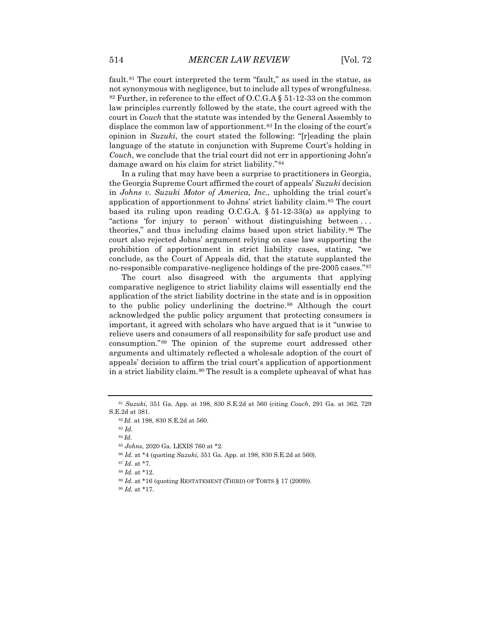fault.<sup>[81](#page-14-0)</sup> The court interpreted the term "fault," as used in the statue, as not synonymous with negligence, but to include all types of wrongfulness. <sup>[82](#page-14-1)</sup> Further, in reference to the effect of O.C.G.A  $\S$  51-12-33 on the common law principles currently followed by the state, the court agreed with the court in *Couch* that the statute was intended by the General Assembly to displace the common law of apportionment.[83](#page-14-2) In the closing of the court's opinion in *Suzuki*, the court stated the following: "[r]eading the plain language of the statute in conjunction with Supreme Court's holding in *Couch*, we conclude that the trial court did not err in apportioning John's damage award on his claim for strict liability."[84](#page-14-3)

In a ruling that may have been a surprise to practitioners in Georgia, the Georgia Supreme Court affirmed the court of appeals' *Suzuki* decision in *Johns v. Suzuki Motor of America, Inc.*, upholding the trial court's application of apportionment to Johns' strict liability claim.[85](#page-14-4) The court based its ruling upon reading O.C.G.A. § 51-12-33(a) as applying to "actions 'for injury to person' without distinguishing between . . . theories," and thus including claims based upon strict liability.[86](#page-14-5) The court also rejected Johns' argument relying on case law supporting the prohibition of apportionment in strict liability cases, stating, "we conclude, as the Court of Appeals did, that the statute supplanted the no-responsible comparative-negligence holdings of the pre-2005 cases."[87](#page-14-6)

The court also disagreed with the arguments that applying comparative negligence to strict liability claims will essentially end the application of the strict liability doctrine in the state and is in opposition to the public policy underlining the doctrine.[88](#page-14-7) Although the court acknowledged the public policy argument that protecting consumers is important, it agreed with scholars who have argued that is it "unwise to relieve users and consumers of all responsibility for safe product use and consumption."[89](#page-14-8) The opinion of the supreme court addressed other arguments and ultimately reflected a wholesale adoption of the court of appeals' decision to affirm the trial court's application of apportionment in a strict liability claim.[90](#page-14-9) The result is a complete upheaval of what has

<sup>83</sup> *Id.*

<sup>84</sup> *Id.*

<span id="page-14-4"></span><span id="page-14-3"></span><span id="page-14-2"></span><span id="page-14-1"></span><span id="page-14-0"></span><sup>81</sup> *Suzuki*, 351 Ga. App. at 198, 830 S.E.2d at 560 (citing *Couch*, 291 Ga. at 362, 729 S.E.2d at 381.

<sup>82</sup> *Id.* at 198, 830 S.E.2d at 560.

<sup>85</sup> *Johns*, 2020 Ga. LEXIS 760 at \*2.

<span id="page-14-5"></span><sup>86</sup> *Id.* at \*4 (quoting *Suzuki*, 351 Ga. App. at 198, 830 S.E.2d at 560).

<span id="page-14-7"></span><span id="page-14-6"></span><sup>87</sup> *Id.* at \*7.

<sup>88</sup> *Id.* at \*12.

<span id="page-14-9"></span><span id="page-14-8"></span><sup>89</sup> *Id.* at \*16 (quoting RESTATEMENT (THIRD) OF TORTS § 17 (2009)).

<sup>90</sup> *Id.* at \*17.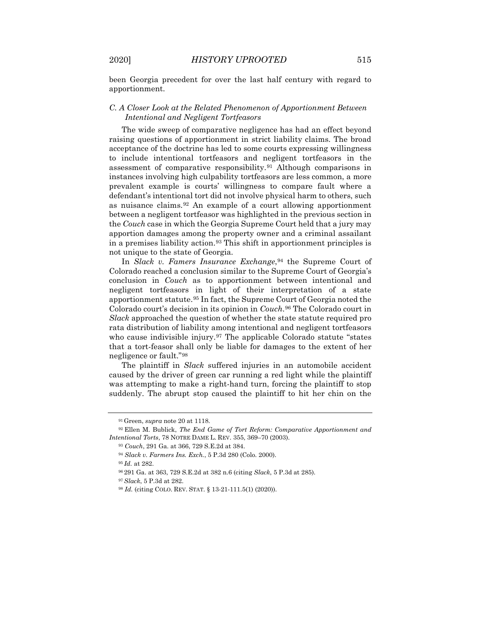been Georgia precedent for over the last half century with regard to apportionment.

# *C. A Closer Look at the Related Phenomenon of Apportionment Between Intentional and Negligent Tortfeasors*

The wide sweep of comparative negligence has had an effect beyond raising questions of apportionment in strict liability claims. The broad acceptance of the doctrine has led to some courts expressing willingness to include intentional tortfeasors and negligent tortfeasors in the assessment of comparative responsibility.[91](#page-15-0) Although comparisons in instances involving high culpability tortfeasors are less common, a more prevalent example is courts' willingness to compare fault where a defendant's intentional tort did not involve physical harm to others, such as nuisance claims.[92](#page-15-1) An example of a court allowing apportionment between a negligent tortfeasor was highlighted in the previous section in the *Couch* case in which the Georgia Supreme Court held that a jury may apportion damages among the property owner and a criminal assailant in a premises liability action.<sup>[93](#page-15-2)</sup> This shift in apportionment principles is not unique to the state of Georgia.

In *Slack v. Famers Insurance Exchange*,<sup>[94](#page-15-3)</sup> the Supreme Court of Colorado reached a conclusion similar to the Supreme Court of Georgia's conclusion in *Couch* as to apportionment between intentional and negligent tortfeasors in light of their interpretation of a state apportionment statute.[95](#page-15-4) In fact, the Supreme Court of Georgia noted the Colorado court's decision in its opinion in *Couch*.[96](#page-15-5) The Colorado court in *Slack* approached the question of whether the state statute required pro rata distribution of liability among intentional and negligent tortfeasors who cause indivisible injury.<sup>[97](#page-15-6)</sup> The applicable Colorado statute "states that a tort-feasor shall only be liable for damages to the extent of her negligence or fault."[98](#page-15-7)

The plaintiff in *Slack* suffered injuries in an automobile accident caused by the driver of green car running a red light while the plaintiff was attempting to make a right-hand turn, forcing the plaintiff to stop suddenly. The abrupt stop caused the plaintiff to hit her chin on the

<sup>95</sup> *Id.* at 282.

<sup>91</sup> Green, *supra* note 20 at 1118.

<span id="page-15-5"></span><span id="page-15-4"></span><span id="page-15-3"></span><span id="page-15-2"></span><span id="page-15-1"></span><span id="page-15-0"></span><sup>92</sup> Ellen M. Bublick, *The End Game of Tort Reform: Comparative Apportionment and Intentional Torts*, 78 NOTRE DAME L. REV. 355, 369–70 (2003).

<sup>93</sup> *Couch*, 291 Ga. at 366, 729 S.E.2d at 384.

<sup>94</sup> *Slack v. Farmers Ins. Exch.*, 5 P.3d 280 (Colo. 2000).

<sup>96</sup> 291 Ga. at 363, 729 S.E.2d at 382 n.6 (citing *Slack*, 5 P.3d at 285).

<span id="page-15-7"></span><span id="page-15-6"></span><sup>97</sup> *Slack*, 5 P.3d at 282.

<sup>98</sup> *Id.* (citing COLO. REV. STAT. § 13-21-111.5(1) (2020)).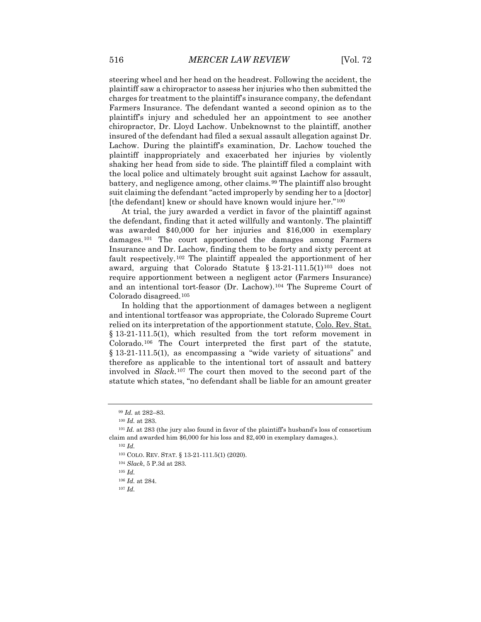steering wheel and her head on the headrest. Following the accident, the plaintiff saw a chiropractor to assess her injuries who then submitted the charges for treatment to the plaintiff's insurance company, the defendant Farmers Insurance. The defendant wanted a second opinion as to the plaintiff's injury and scheduled her an appointment to see another chiropractor, Dr. Lloyd Lachow. Unbeknownst to the plaintiff, another insured of the defendant had filed a sexual assault allegation against Dr. Lachow. During the plaintiff's examination, Dr. Lachow touched the plaintiff inappropriately and exacerbated her injuries by violently shaking her head from side to side. The plaintiff filed a complaint with the local police and ultimately brought suit against Lachow for assault, battery, and negligence among, other claims.<sup>[99](#page-16-0)</sup> The plaintiff also brought suit claiming the defendant "acted improperly by sending her to a [doctor] [the defendant] knew or should have known would injure her."[100](#page-16-1)

At trial, the jury awarded a verdict in favor of the plaintiff against the defendant, finding that it acted willfully and wantonly. The plaintiff was awarded \$40,000 for her injuries and \$16,000 in exemplary damages.[101](#page-16-2) The court apportioned the damages among Farmers Insurance and Dr. Lachow, finding them to be forty and sixty percent at fault respectively.[102](#page-16-3) The plaintiff appealed the apportionment of her award, arguing that Colorado Statute §  $13-21-111.5(1)^{103}$  $13-21-111.5(1)^{103}$  $13-21-111.5(1)^{103}$  does not require apportionment between a negligent actor (Farmers Insurance) and an intentional tort-feasor (Dr. Lachow).[104](#page-16-5) The Supreme Court of Colorado disagreed.[105](#page-16-6)

In holding that the apportionment of damages between a negligent and intentional tortfeasor was appropriate, the Colorado Supreme Court relied on its interpretation of the apportionment statute, Colo. Rev. Stat. § 13-21-111.5(1), which resulted from the tort reform movement in Colorado.[106](#page-16-7) The Court interpreted the first part of the statute, § 13-21-111.5(1), as encompassing a "wide variety of situations" and therefore as applicable to the intentional tort of assault and battery involved in *Slack*.[107](#page-16-8) The court then moved to the second part of the statute which states, "no defendant shall be liable for an amount greater

<sup>102</sup> *Id.*

<sup>105</sup> *Id.*

<span id="page-16-8"></span><sup>107</sup> *Id.*

<sup>99</sup> *Id.* at 282–83.

<sup>100</sup> *Id.* at 283.

<span id="page-16-6"></span><span id="page-16-5"></span><span id="page-16-4"></span><span id="page-16-3"></span><span id="page-16-2"></span><span id="page-16-1"></span><span id="page-16-0"></span><sup>&</sup>lt;sup>101</sup> *Id.* at 283 (the jury also found in favor of the plaintiff's husband's loss of consortium claim and awarded him \$6,000 for his loss and \$2,400 in exemplary damages.).

<sup>103</sup> COLO. REV. STAT. § 13-21-111.5(1) (2020).

<span id="page-16-7"></span><sup>104</sup> *Slack*, 5 P.3d at 283.

<sup>106</sup> *Id.* at 284.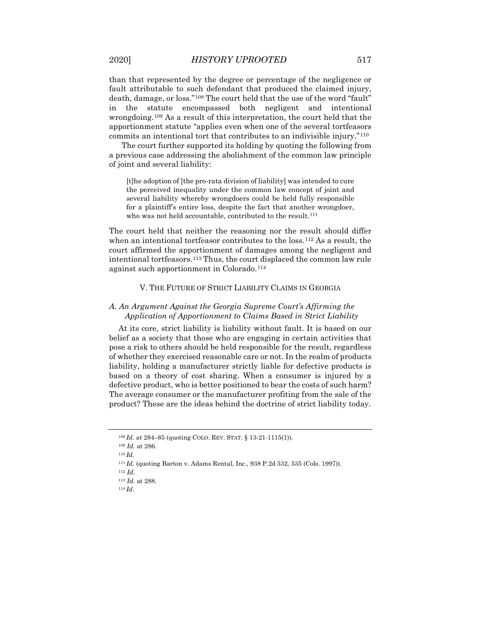than that represented by the degree or percentage of the negligence or fault attributable to such defendant that produced the claimed injury, death, damage, or loss."[108](#page-17-0) The court held that the use of the word "fault" in the statute encompassed both negligent and intentional wrongdoing.[109](#page-17-1) As a result of this interpretation, the court held that the apportionment statute "applies even when one of the several tortfeasors commits an intentional tort that contributes to an indivisible injury."[110](#page-17-2)

The court further supported its holding by quoting the following from a previous case addressing the abolishment of the common law principle of joint and several liability:

[t]he adoption of [the pro-rata division of liability] was intended to cure the perceived inequality under the common law concept of joint and several liability whereby wrongdoers could be held fully responsible for a plaintiff's entire loss, despite the fact that another wrongdoer, who was not held accountable, contributed to the result.<sup>111</sup>

The court held that neither the reasoning nor the result should differ when an intentional tortfeasor contributes to the loss.<sup>[112](#page-17-4)</sup> As a result, the court affirmed the apportionment of damages among the negligent and intentional tortfeasors.[113](#page-17-5) Thus, the court displaced the common law rule against such apportionment in Colorado.[114](#page-17-6)

#### V. THE FUTURE OF STRICT LIABILITY CLAIMS IN GEORGIA

# *A. An Argument Against the Georgia Supreme Court's Affirming the Application of Apportionment to Claims Based in Strict Liability*

At its core, strict liability is liability without fault. It is based on our belief as a society that those who are engaging in certain activities that pose a risk to others should be held responsible for the result, regardless of whether they exercised reasonable care or not. In the realm of products liability, holding a manufacturer strictly liable for defective products is based on a theory of cost sharing. When a consumer is injured by a defective product, who is better positioned to bear the costs of such harm? The average consumer or the manufacturer profiting from the sale of the product? These are the ideas behind the doctrine of strict liability today.

<span id="page-17-1"></span><span id="page-17-0"></span><sup>108</sup> *Id.* at 284–85 (quoting COLO. REV. STAT. § 13-21-1115(1)).

<sup>109</sup> *Id.* at 286.

<sup>110</sup> *Id.*

<span id="page-17-4"></span><span id="page-17-3"></span><span id="page-17-2"></span><sup>111</sup> *Id.* (quoting Barton v. Adams Rental, Inc., 938 P.2d 532, 535 (Colo. 1997)).

<span id="page-17-5"></span><sup>112</sup> *Id.*

<sup>113</sup> *Id.* at 288.

<span id="page-17-6"></span><sup>114</sup> *Id.*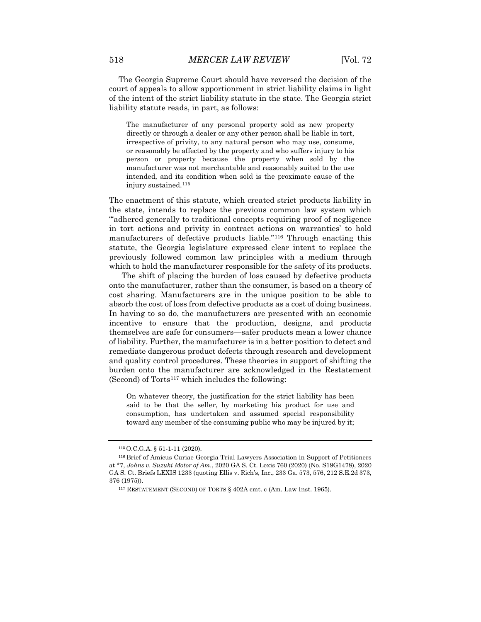The Georgia Supreme Court should have reversed the decision of the court of appeals to allow apportionment in strict liability claims in light of the intent of the strict liability statute in the state. The Georgia strict liability statute reads, in part, as follows:

The manufacturer of any personal property sold as new property directly or through a dealer or any other person shall be liable in tort, irrespective of privity, to any natural person who may use, consume, or reasonably be affected by the property and who suffers injury to his person or property because the property when sold by the manufacturer was not merchantable and reasonably suited to the use intended, and its condition when sold is the proximate cause of the injury sustained.[115](#page-18-0)

The enactment of this statute, which created strict products liability in the state, intends to replace the previous common law system which "'adhered generally to traditional concepts requiring proof of negligence in tort actions and privity in contract actions on warranties' to hold manufacturers of defective products liable."[116](#page-18-1) Through enacting this statute, the Georgia legislature expressed clear intent to replace the previously followed common law principles with a medium through which to hold the manufacturer responsible for the safety of its products.

The shift of placing the burden of loss caused by defective products onto the manufacturer, rather than the consumer, is based on a theory of cost sharing. Manufacturers are in the unique position to be able to absorb the cost of loss from defective products as a cost of doing business. In having to so do, the manufacturers are presented with an economic incentive to ensure that the production, designs, and products themselves are safe for consumers—safer products mean a lower chance of liability. Further, the manufacturer is in a better position to detect and remediate dangerous product defects through research and development and quality control procedures. These theories in support of shifting the burden onto the manufacturer are acknowledged in the Restatement (Second) of  $Torts<sup>117</sup>$  $Torts<sup>117</sup>$  $Torts<sup>117</sup>$  which includes the following:

On whatever theory, the justification for the strict liability has been said to be that the seller, by marketing his product for use and consumption, has undertaken and assumed special responsibility toward any member of the consuming public who may be injured by it;

<sup>115</sup> O.C.G.A. § 51-1-11 (2020).

<span id="page-18-2"></span><span id="page-18-1"></span><span id="page-18-0"></span><sup>116</sup> Brief of Amicus Curiae Georgia Trial Lawyers Association in Support of Petitioners at \*7, *Johns v. Suzuki Motor of Am.*, 2020 GA S. Ct. Lexis 760 (2020) (No. S19G1478), 2020 GA S. Ct. Briefs LEXIS 1233 (quoting Ellis v. Rich's, Inc., 233 Ga. 573, 576, 212 S.E.2d 373, 376 (1975)).

<sup>117</sup> RESTATEMENT (SECOND) OF TORTS § 402A cmt. c (Am. Law Inst. 1965).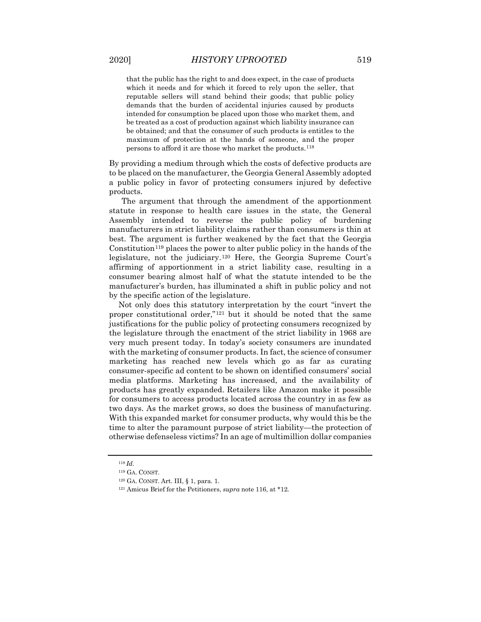that the public has the right to and does expect, in the case of products which it needs and for which it forced to rely upon the seller, that reputable sellers will stand behind their goods; that public policy demands that the burden of accidental injuries caused by products intended for consumption be placed upon those who market them, and be treated as a cost of production against which liability insurance can be obtained; and that the consumer of such products is entitles to the maximum of protection at the hands of someone, and the proper persons to afford it are those who market the products.[118](#page-19-0)

By providing a medium through which the costs of defective products are to be placed on the manufacturer, the Georgia General Assembly adopted a public policy in favor of protecting consumers injured by defective products.

The argument that through the amendment of the apportionment statute in response to health care issues in the state, the General Assembly intended to reverse the public policy of burdening manufacturers in strict liability claims rather than consumers is thin at best. The argument is further weakened by the fact that the Georgia Constitution<sup>[119](#page-19-1)</sup> places the power to alter public policy in the hands of the legislature, not the judiciary.[120](#page-19-2) Here, the Georgia Supreme Court's affirming of apportionment in a strict liability case, resulting in a consumer bearing almost half of what the statute intended to be the manufacturer's burden, has illuminated a shift in public policy and not by the specific action of the legislature.

Not only does this statutory interpretation by the court "invert the proper constitutional order,"[121](#page-19-3) but it should be noted that the same justifications for the public policy of protecting consumers recognized by the legislature through the enactment of the strict liability in 1968 are very much present today. In today's society consumers are inundated with the marketing of consumer products. In fact, the science of consumer marketing has reached new levels which go as far as curating consumer-specific ad content to be shown on identified consumers' social media platforms. Marketing has increased, and the availability of products has greatly expanded. Retailers like Amazon make it possible for consumers to access products located across the country in as few as two days. As the market grows, so does the business of manufacturing. With this expanded market for consumer products, why would this be the time to alter the paramount purpose of strict liability—the protection of otherwise defenseless victims? In an age of multimillion dollar companies

<span id="page-19-1"></span><span id="page-19-0"></span><sup>118</sup> *Id.*

<sup>119</sup> GA. CONST.

<span id="page-19-2"></span><sup>120</sup> GA. CONST. Art. III, § 1, para. 1.

<span id="page-19-3"></span><sup>121</sup> Amicus Brief for the Petitioners, *supra* note 116, at \*12.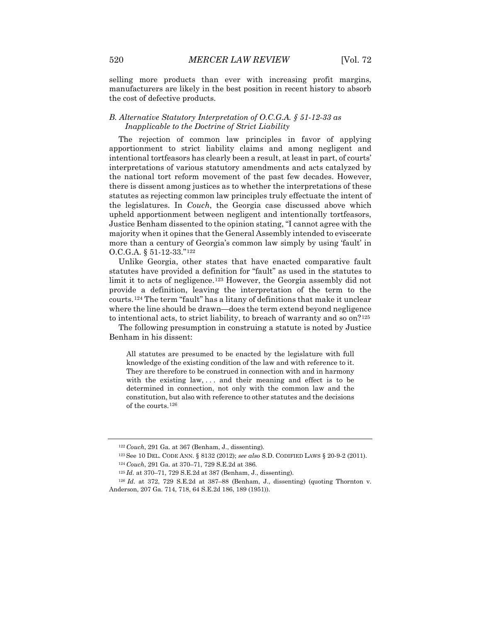selling more products than ever with increasing profit margins, manufacturers are likely in the best position in recent history to absorb the cost of defective products.

#### *B. Alternative Statutory Interpretation of O.C.G.A. § 51-12-33 as Inapplicable to the Doctrine of Strict Liability*

The rejection of common law principles in favor of applying apportionment to strict liability claims and among negligent and intentional tortfeasors has clearly been a result, at least in part, of courts' interpretations of various statutory amendments and acts catalyzed by the national tort reform movement of the past few decades. However, there is dissent among justices as to whether the interpretations of these statutes as rejecting common law principles truly effectuate the intent of the legislatures. In *Couch*, the Georgia case discussed above which upheld apportionment between negligent and intentionally tortfeasors, Justice Benham dissented to the opinion stating, "I cannot agree with the majority when it opines that the General Assembly intended to eviscerate more than a century of Georgia's common law simply by using 'fault' in O.C.G.A. § 51-12-33."[122](#page-20-0)

Unlike Georgia, other states that have enacted comparative fault statutes have provided a definition for "fault" as used in the statutes to limit it to acts of negligence.[123](#page-20-1) However, the Georgia assembly did not provide a definition, leaving the interpretation of the term to the courts.[124](#page-20-2) The term "fault" has a litany of definitions that make it unclear where the line should be drawn—does the term extend beyond negligence to intentional acts, to strict liability, to breach of warranty and so on?[125](#page-20-3)

The following presumption in construing a statute is noted by Justice Benham in his dissent:

All statutes are presumed to be enacted by the legislature with full knowledge of the existing condition of the law and with reference to it. They are therefore to be construed in connection with and in harmony with the existing law, ... and their meaning and effect is to be determined in connection, not only with the common law and the constitution, but also with reference to other statutes and the decisions of the courts.[126](#page-20-4)

<sup>122</sup> *Couch*, 291 Ga. at 367 (Benham, J., dissenting).

<sup>123</sup> See 10 DEL. CODE ANN. § 8132 (2012); *see also* S.D. CODIFIED LAWS § 20-9-2 (2011).

<sup>124</sup> *Couch*, 291 Ga. at 370–71, 729 S.E.2d at 386.

<sup>125</sup> *Id.* at 370–71, 729 S.E.2d at 387 (Benham, J., dissenting).

<span id="page-20-4"></span><span id="page-20-3"></span><span id="page-20-2"></span><span id="page-20-1"></span><span id="page-20-0"></span><sup>126</sup> *Id.* at 372, 729 S.E.2d at 387–88 (Benham, J., dissenting) (quoting Thornton v. Anderson, 207 Ga. 714, 718, 64 S.E.2d 186, 189 (1951)).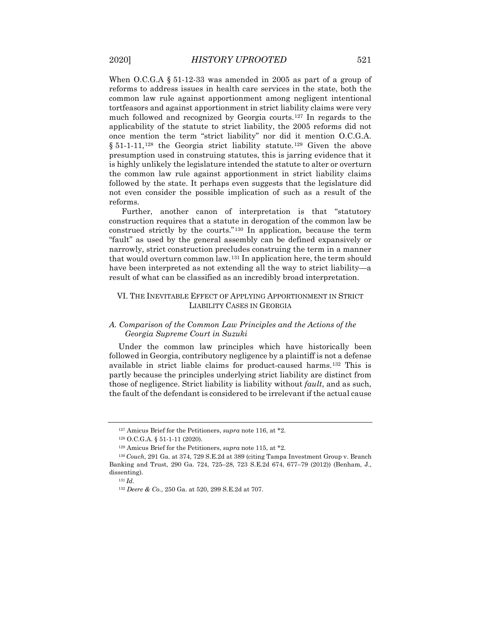When O.C.G.A § 51-12-33 was amended in 2005 as part of a group of reforms to address issues in health care services in the state, both the common law rule against apportionment among negligent intentional tortfeasors and against apportionment in strict liability claims were very much followed and recognized by Georgia courts.[127](#page-21-0) In regards to the applicability of the statute to strict liability, the 2005 reforms did not once mention the term "strict liability" nor did it mention O.C.G.A. § 51-1-11,<sup>[128](#page-21-1)</sup> the Georgia strict liability statute.<sup>[129](#page-21-2)</sup> Given the above presumption used in construing statutes, this is jarring evidence that it is highly unlikely the legislature intended the statute to alter or overturn the common law rule against apportionment in strict liability claims followed by the state. It perhaps even suggests that the legislature did not even consider the possible implication of such as a result of the reforms.

Further, another canon of interpretation is that "statutory construction requires that a statute in derogation of the common law be construed strictly by the courts."[130](#page-21-3) In application, because the term "fault" as used by the general assembly can be defined expansively or narrowly, strict construction precludes construing the term in a manner that would overturn common law.[131](#page-21-4) In application here, the term should have been interpreted as not extending all the way to strict liability—a result of what can be classified as an incredibly broad interpretation.

# VI. THE INEVITABLE EFFECT OF APPLYING APPORTIONMENT IN STRICT LIABILITY CASES IN GEORGIA

# *A. Comparison of the Common Law Principles and the Actions of the Georgia Supreme Court in Suzuki*

Under the common law principles which have historically been followed in Georgia, contributory negligence by a plaintiff is not a defense available in strict liable claims for product-caused harms.[132](#page-21-5) This is partly because the principles underlying strict liability are distinct from those of negligence. Strict liability is liability without *fault*, and as such, the fault of the defendant is considered to be irrelevant if the actual cause

<sup>127</sup> Amicus Brief for the Petitioners, *supra* note 116, at \*2.

<sup>128</sup> O.C.G.A. § 51-1-11 (2020).

<sup>129</sup> Amicus Brief for the Petitioners, *supra* note 115, at \*2.

<span id="page-21-5"></span><span id="page-21-4"></span><span id="page-21-3"></span><span id="page-21-2"></span><span id="page-21-1"></span><span id="page-21-0"></span><sup>130</sup> *Couch*, 291 Ga. at 374, 729 S.E.2d at 389 (citing Tampa Investment Group v. Branch Banking and Trust, 290 Ga. 724, 725–28, 723 S.E.2d 674, 677–79 (2012)) (Benham, J., dissenting).

<sup>131</sup> *Id.*

<sup>132</sup> *Deere & Co.*, 250 Ga. at 520, 299 S.E.2d at 707.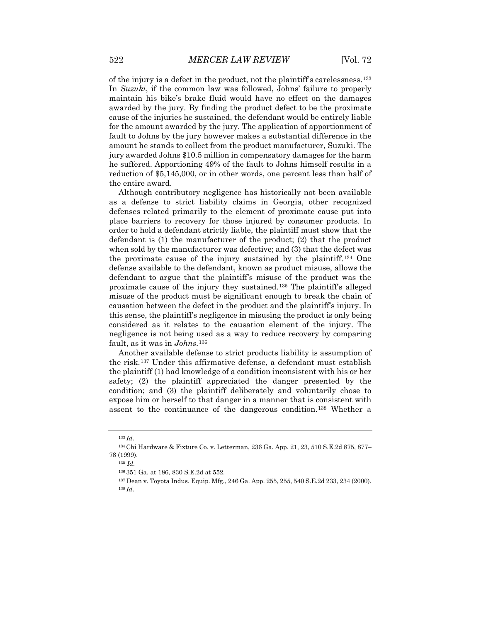of the injury is a defect in the product, not the plaintiff's carelessness.[133](#page-22-0) In *Suzuki*, if the common law was followed, Johns' failure to properly maintain his bike's brake fluid would have no effect on the damages awarded by the jury. By finding the product defect to be the proximate cause of the injuries he sustained, the defendant would be entirely liable for the amount awarded by the jury. The application of apportionment of fault to Johns by the jury however makes a substantial difference in the amount he stands to collect from the product manufacturer, Suzuki. The jury awarded Johns \$10.5 million in compensatory damages for the harm he suffered. Apportioning 49% of the fault to Johns himself results in a reduction of \$5,145,000, or in other words, one percent less than half of the entire award.

Although contributory negligence has historically not been available as a defense to strict liability claims in Georgia, other recognized defenses related primarily to the element of proximate cause put into place barriers to recovery for those injured by consumer products. In order to hold a defendant strictly liable, the plaintiff must show that the defendant is (1) the manufacturer of the product; (2) that the product when sold by the manufacturer was defective; and (3) that the defect was the proximate cause of the injury sustained by the plaintiff.[134](#page-22-1) One defense available to the defendant, known as product misuse, allows the defendant to argue that the plaintiff's misuse of the product was the proximate cause of the injury they sustained.[135](#page-22-2) The plaintiff's alleged misuse of the product must be significant enough to break the chain of causation between the defect in the product and the plaintiff's injury. In this sense, the plaintiff's negligence in misusing the product is only being considered as it relates to the causation element of the injury. The negligence is not being used as a way to reduce recovery by comparing fault, as it was in *Johns*.[136](#page-22-3)

Another available defense to strict products liability is assumption of the risk.[137](#page-22-4) Under this affirmative defense, a defendant must establish the plaintiff (1) had knowledge of a condition inconsistent with his or her safety; (2) the plaintiff appreciated the danger presented by the condition; and (3) the plaintiff deliberately and voluntarily chose to expose him or herself to that danger in a manner that is consistent with assent to the continuance of the dangerous condition.[138](#page-22-5) Whether a

<sup>133</sup> *Id.*

<span id="page-22-5"></span><span id="page-22-4"></span><span id="page-22-3"></span><span id="page-22-2"></span><span id="page-22-1"></span><span id="page-22-0"></span><sup>134</sup> Chi Hardware & Fixture Co. v. Letterman, 236 Ga. App. 21, 23, 510 S.E.2d 875, 877– 78 (1999).

<sup>135</sup> *Id.*

<sup>136</sup> 351 Ga. at 186, 830 S.E.2d at 552.

<sup>137</sup> Dean v. Toyota Indus. Equip. Mfg., 246 Ga. App. 255, 255, 540 S.E.2d 233, 234 (2000). <sup>138</sup> *Id.*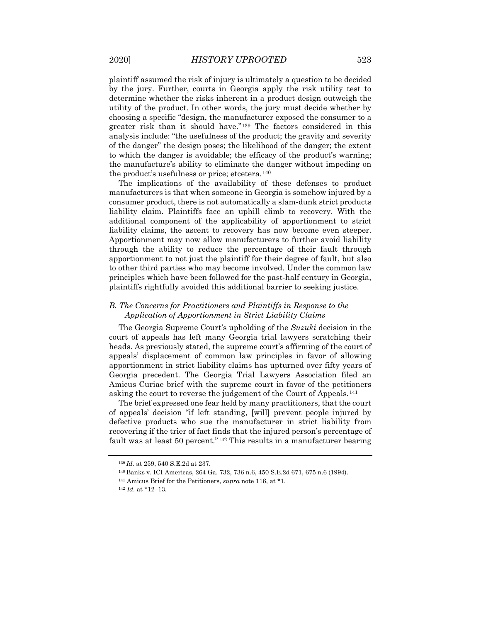plaintiff assumed the risk of injury is ultimately a question to be decided by the jury. Further, courts in Georgia apply the risk utility test to determine whether the risks inherent in a product design outweigh the utility of the product. In other words, the jury must decide whether by choosing a specific "design, the manufacturer exposed the consumer to a greater risk than it should have."[139](#page-23-0) The factors considered in this analysis include: "the usefulness of the product; the gravity and severity of the danger" the design poses; the likelihood of the danger; the extent to which the danger is avoidable; the efficacy of the product's warning; the manufacture's ability to eliminate the danger without impeding on the product's usefulness or price; etcetera.[140](#page-23-1)

The implications of the availability of these defenses to product manufacturers is that when someone in Georgia is somehow injured by a consumer product, there is not automatically a slam-dunk strict products liability claim. Plaintiffs face an uphill climb to recovery. With the additional component of the applicability of apportionment to strict liability claims, the ascent to recovery has now become even steeper. Apportionment may now allow manufacturers to further avoid liability through the ability to reduce the percentage of their fault through apportionment to not just the plaintiff for their degree of fault, but also to other third parties who may become involved. Under the common law principles which have been followed for the past-half century in Georgia, plaintiffs rightfully avoided this additional barrier to seeking justice.

# *B. The Concerns for Practitioners and Plaintiffs in Response to the Application of Apportionment in Strict Liability Claims*

The Georgia Supreme Court's upholding of the *Suzuki* decision in the court of appeals has left many Georgia trial lawyers scratching their heads. As previously stated, the supreme court's affirming of the court of appeals' displacement of common law principles in favor of allowing apportionment in strict liability claims has upturned over fifty years of Georgia precedent. The Georgia Trial Lawyers Association filed an Amicus Curiae brief with the supreme court in favor of the petitioners asking the court to reverse the judgement of the Court of Appeals.[141](#page-23-2)

The brief expressed one fear held by many practitioners, that the court of appeals' decision "if left standing, [will] prevent people injured by defective products who sue the manufacturer in strict liability from recovering if the trier of fact finds that the injured person's percentage of fault was at least 50 percent."[142](#page-23-3) This results in a manufacturer bearing

<span id="page-23-1"></span><span id="page-23-0"></span><sup>139</sup> *Id.* at 259, 540 S.E.2d at 237.

<sup>140</sup> Banks v. ICI Americas, 264 Ga. 732, 736 n.6, 450 S.E.2d 671, 675 n.6 (1994).

<sup>141</sup> Amicus Brief for the Petitioners, *supra* note 116, at \*1.

<span id="page-23-3"></span><span id="page-23-2"></span><sup>142</sup> *Id.* at \*12–13.